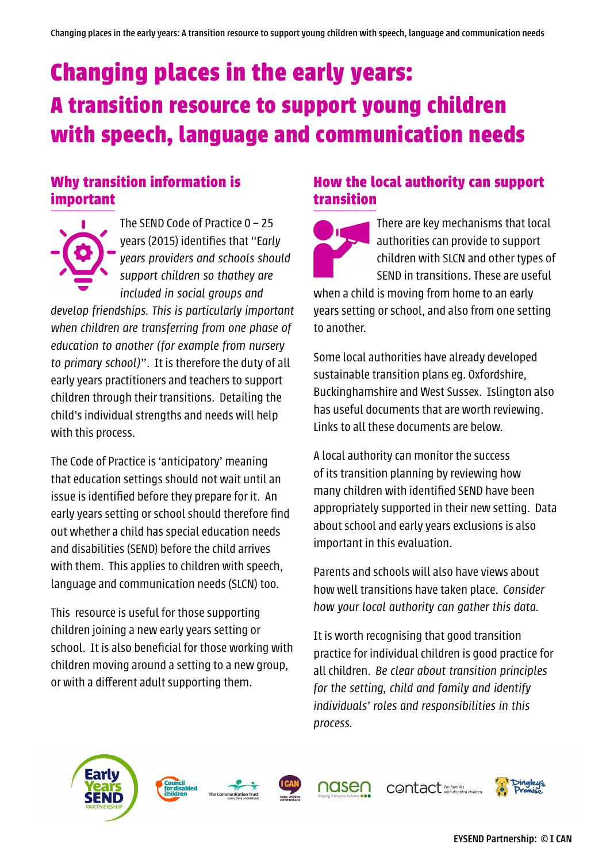# **Changing places in the early years: A transition resource to support young children with speech, language and communication needs**

#### **Why transition information is important**

The SEND Code of Practice 0 – 25 years (2015) identifies that "E*arly years providers and schools should support children so thathey are included in social groups and* 

*develop friendships. This is particularly important when children are transferring from one phase of education to another (for example from nursery to primary school)*". It is therefore the duty of all early years practitioners and teachers to support children through their transitions. Detailing the child's individual strengths and needs will help with this process.

The Code of Practice is 'anticipatory' meaning that education settings should not wait until an issue is identified before they prepare for it. An early years setting or school should therefore find out whether a child has special education needs and disabilities (SEND) before the child arrives with them. This applies to children with speech, language and communication needs (SLCN) too.

This resource is useful for those supporting children joining a new early years setting or school. It is also beneficial for those working with children moving around a setting to a new group, or with a different adult supporting them.

#### **How the local authority can support transition**

There are key mechanisms that local authorities can provide to support children with SLCN and other types of SEND in transitions. These are useful

when a child is moving from home to an early years setting or school, and also from one setting to another.

Some local authorities have already developed sustainable transition plans eg. Oxfordshire, Buckinghamshire and West Sussex. Islington also has useful documents that are worth reviewing. Links to all these documents are below.

A local authority can monitor the success of its transition planning by reviewing how many children with identified SEND have been appropriately supported in their new setting. Data about school and early years exclusions is also important in this evaluation.

Parents and schools will also have views about how well transitions have taken place. *Consider how your local authority can gather this data.*

It is worth recognising that good transition practice for individual children is good practice for all children. *Be clear about transition principles for the setting, child and family and identify individuals' roles and responsibilities in this process.*







nasen



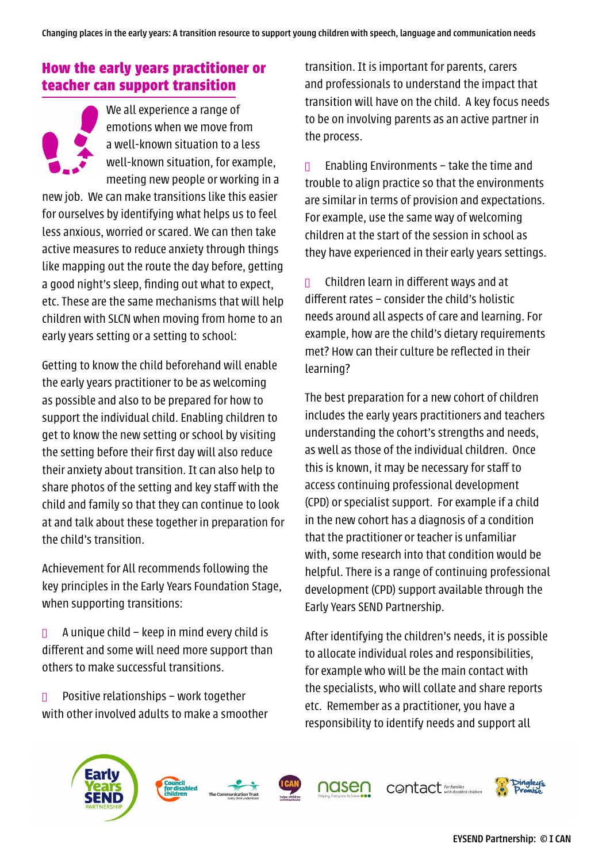#### **How the early years practitioner or teacher can support transition**

We all experience a range of emotions when we move from a well-known situation to a less well-known situation, for example, meeting new people or working in a new job. We can make transitions like this easier for ourselves by identifying what helps us to feel less anxious, worried or scared. We can then take active measures to reduce anxiety through things like mapping out the route the day before, getting a good night's sleep, finding out what to expect, etc. These are the same mechanisms that will help children with SLCN when moving from home to an early years setting or a setting to school:

Getting to know the child beforehand will enable the early years practitioner to be as welcoming as possible and also to be prepared for how to support the individual child. Enabling children to get to know the new setting or school by visiting the setting before their first day will also reduce their anxiety about transition. It can also help to share photos of the setting and key staff with the child and family so that they can continue to look at and talk about these together in preparation for the child's transition.

Achievement for All recommends following the key principles in the Early Years Foundation Stage, when supporting transitions:

 $\Box$  A unique child – keep in mind every child is different and some will need more support than others to make successful transitions.

 $\Box$  Positive relationships – work together with other involved adults to make a smoother transition. It is important for parents, carers and professionals to understand the impact that transition will have on the child. A key focus needs to be on involving parents as an active partner in the process.

**n** Enabling Environments – take the time and trouble to align practice so that the environments are similar in terms of provision and expectations. For example, use the same way of welcoming children at the start of the session in school as they have experienced in their early years settings.

**n** Children learn in different ways and at different rates – consider the child's holistic needs around all aspects of care and learning. For example, how are the child's dietary requirements met? How can their culture be reflected in their learning?

The best preparation for a new cohort of children includes the early years practitioners and teachers understanding the cohort's strengths and needs, as well as those of the individual children. Once this is known, it may be necessary for staff to access continuing professional development (CPD) or specialist support. For example if a child in the new cohort has a diagnosis of a condition that the practitioner or teacher is unfamiliar with, some research into that condition would be helpful. There is a range of continuing professional development (CPD) support available through the Early Years SEND Partnership.

After identifying the children's needs, it is possible to allocate individual roles and responsibilities, for example who will be the main contact with the specialists, who will collate and share reports etc. Remember as a practitioner, you have a responsibility to identify needs and support all









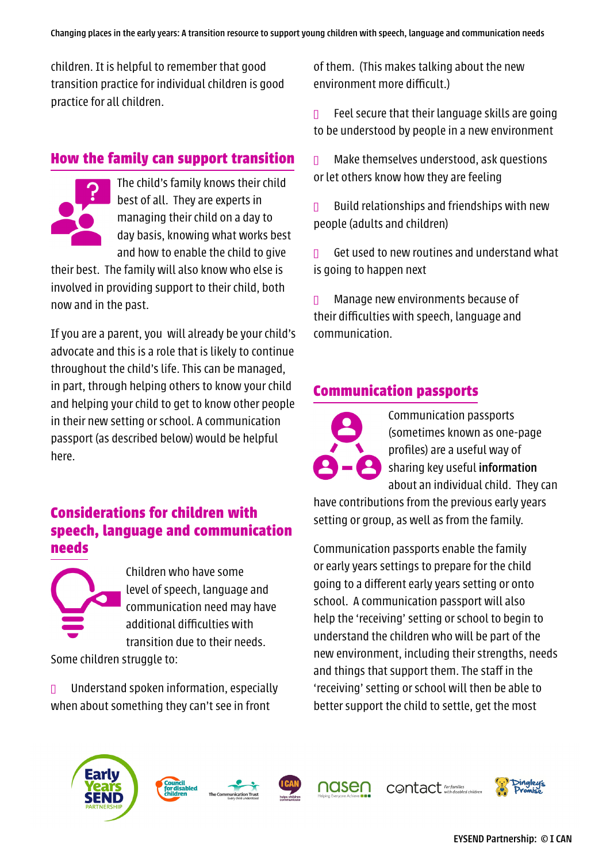children. It is helpful to remember that good transition practice for individual children is good practice for all children.

#### **How the family can support transition**



The child's family knows their child best of all. They are experts in managing their child on a day to day basis, knowing what works best and how to enable the child to give

their best. The family will also know who else is involved in providing support to their child, both now and in the past.

If you are a parent, you will already be your child's advocate and this is a role that is likely to continue throughout the child's life. This can be managed, in part, through helping others to know your child and helping your child to get to know other people in their new setting or school. A communication passport (as described below) would be helpful here.

#### **Considerations for children with speech, language and communication needs**



Children who have some level of speech, language and communication need may have additional difficulties with transition due to their needs.

Some children struggle to:

 $\Box$  Understand spoken information, especially when about something they can't see in front

of them. (This makes talking about the new environment more difficult.)

 $\Box$  Feel secure that their language skills are going to be understood by people in a new environment

 $\Box$  Make themselves understood, ask questions or let others know how they are feeling

 $\Box$  Build relationships and friendships with new people (adults and children)

 $\Box$  Get used to new routines and understand what is going to happen next

 $\Box$  Manage new environments because of their difficulties with speech, language and communication.

#### **Communication passports**

Communication passports (sometimes known as one-page profiles) are a useful way of sharing key useful information about an individual child. They can

have contributions from the previous early years setting or group, as well as from the family.

Communication passports enable the family or early years settings to prepare for the child going to a different early years setting or onto school. A communication passport will also help the 'receiving' setting or school to begin to understand the children who will be part of the new environment, including their strengths, needs and things that support them. The staff in the 'receiving' setting or school will then be able to better support the child to settle, get the most











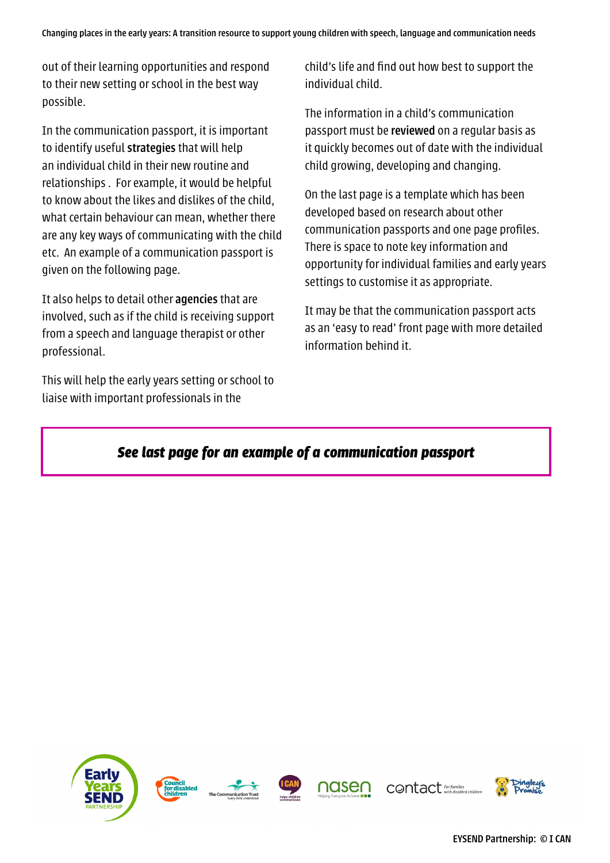out of their learning opportunities and respond to their new setting or school in the best way possible.

In the communication passport, it is important to identify useful strategies that will help an individual child in their new routine and relationships . For example, it would be helpful to know about the likes and dislikes of the child, what certain behaviour can mean, whether there are any key ways of communicating with the child etc. An example of a communication passport is given on the following page.

It also helps to detail other agencies that are involved, such as if the child is receiving support from a speech and language therapist or other professional.

This will help the early years setting or school to liaise with important professionals in the

child's life and find out how best to support the individual child.

The information in a child's communication passport must be reviewed on a regular basis as it quickly becomes out of date with the individual child growing, developing and changing.

On the last page is a template which has been developed based on research about other communication passports and one page profiles. There is space to note key information and opportunity for individual families and early years settings to customise it as appropriate.

It may be that the communication passport acts as an 'easy to read' front page with more detailed information behind it.

## *See last page for an example of a communication passport*

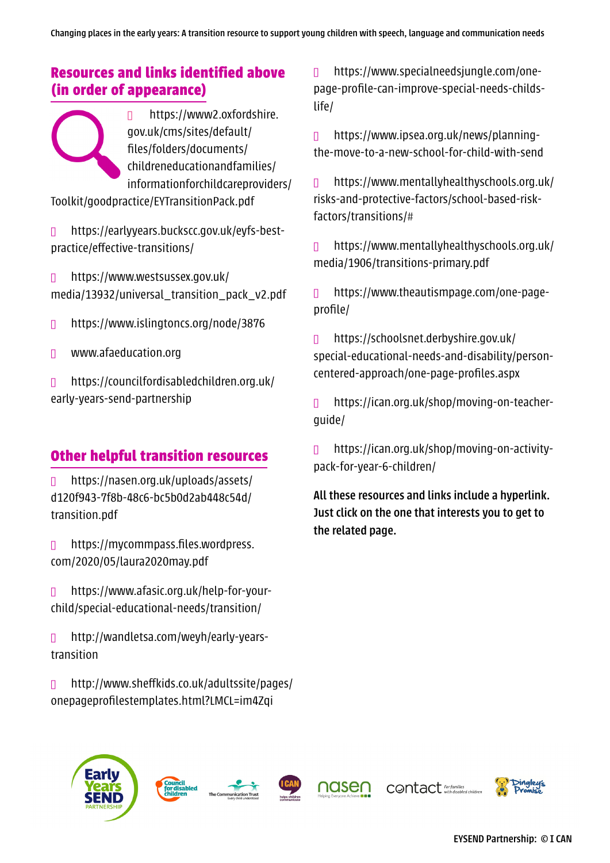## **Resources and links identified above (in order of appearance)**

l https://www2.oxfordshire. gov.uk/cms/sites/default/ files/folders/documents/ childreneducationandfamilies/ informationforchildcareproviders/

Toolkit/goodpractice/EYTransitionPack.pdf

n https://earlyyears.buckscc.gov.uk/eyfs-bestpractice/effective-transitions/

l https://www.westsussex.gov.uk/ media/13932/universal\_transition\_pack\_v2.pdf

l https://www.islingtoncs.org/node/3876

**D** www.afaeducation.org

l https://councilfordisabledchildren.org.uk/ early-years-send-partnership

# **Other helpful transition resources**

 $\Box$  [https://nasen.org.uk/uploads/assets/](https://nasen.org.uk/uploads/assets/d120f943-7f8b-48c6-bc5b0d2ab448c54d/transition.pdf) [d120f943-7f8b-48c6-bc5b0d2ab448c54d/](https://nasen.org.uk/uploads/assets/d120f943-7f8b-48c6-bc5b0d2ab448c54d/transition.pdf) [transition.pdf](https://nasen.org.uk/uploads/assets/d120f943-7f8b-48c6-bc5b0d2ab448c54d/transition.pdf)

 $\Box$  [https://mycommpass.files.wordpress.](https://mycommpass.files.wordpress.com/2020/05/laura2020may.pdf) [com/2020/05/laura2020may.pdf](https://mycommpass.files.wordpress.com/2020/05/laura2020may.pdf)

l [https://www.afasic.org.uk/help-for-your](https://www.afasic.org.uk/help-for-your-child/special-educational-needs/transition/)[child/special-educational-needs/transition/](https://www.afasic.org.uk/help-for-your-child/special-educational-needs/transition/)

 $\Box$  [http://wandletsa.com/weyh/early-years](http://wandletsa.com/weyh/early-years-transition )[transition](http://wandletsa.com/weyh/early-years-transition )

l [http://www.sheffkids.co.uk/adultssite/pages/](http://www.sheffkids.co.uk/adultssite/pages/onepageprofilestemplates.html?LMCL=im4Zqi) [onepageprofilestemplates.html?LMCL=im4Zqi](http://www.sheffkids.co.uk/adultssite/pages/onepageprofilestemplates.html?LMCL=im4Zqi)

 $\Box$  [https://www.specialneedsjungle.com/one](https://www.specialneedsjungle.com/one-page-profile-can-improve-special-needs-childs-life/)[page-profile-can-improve-special-needs-childs](https://www.specialneedsjungle.com/one-page-profile-can-improve-special-needs-childs-life/)[life/](https://www.specialneedsjungle.com/one-page-profile-can-improve-special-needs-childs-life/)

l [https://www.ipsea.org.uk/news/planning](https://www.ipsea.org.uk/news/planning-the-move-to-a-new-school-for-child-with-send )[the-move-to-a-new-school-for-child-with-send](https://www.ipsea.org.uk/news/planning-the-move-to-a-new-school-for-child-with-send ) 

 $\Box$  [https://www.mentallyhealthyschools.org.uk/](https://www.mentallyhealthyschools.org.uk/risks-and-protective-factors/school-based-risk-factors/transitions/#) [risks-and-protective-factors/school-based-risk](https://www.mentallyhealthyschools.org.uk/risks-and-protective-factors/school-based-risk-factors/transitions/#)[factors/transitions/#](https://www.mentallyhealthyschools.org.uk/risks-and-protective-factors/school-based-risk-factors/transitions/#)

l [https://www.mentallyhealthyschools.org.uk/](https://www.mentallyhealthyschools.org.uk/media/1906/transitions-primary.pdf) [media/1906/transitions-primary.pdf](https://www.mentallyhealthyschools.org.uk/media/1906/transitions-primary.pdf)

l [https://www.theautismpage.com/one-page](https://www.theautismpage.com/one-page-profile/)[profile/](https://www.theautismpage.com/one-page-profile/)

l [https://schoolsnet.derbyshire.gov.uk/](https://schoolsnet.derbyshire.gov.uk/special-educational-needs-and-disability/person-centered-approach/one-page-profiles.aspx) [special-educational-needs-and-disability/person](https://schoolsnet.derbyshire.gov.uk/special-educational-needs-and-disability/person-centered-approach/one-page-profiles.aspx)[centered-approach/one-page-profiles.aspx](https://schoolsnet.derbyshire.gov.uk/special-educational-needs-and-disability/person-centered-approach/one-page-profiles.aspx)

n [https://ican.org.uk/shop/moving-on-teacher](https://ican.org.uk/shop/moving-on-teacher-guide/)[guide/](https://ican.org.uk/shop/moving-on-teacher-guide/)

l [https://ican.org.uk/shop/moving-on-activity](https://ican.org.uk/shop/moving-on-activity-pack-for-year-6-children/)[pack-for-year-6-children/](https://ican.org.uk/shop/moving-on-activity-pack-for-year-6-children/)

All these resources and links include a hyperlink. Just click on the one that interests you to get to the related page.

CONTact For families

EYSEND Partnership: © I CAN